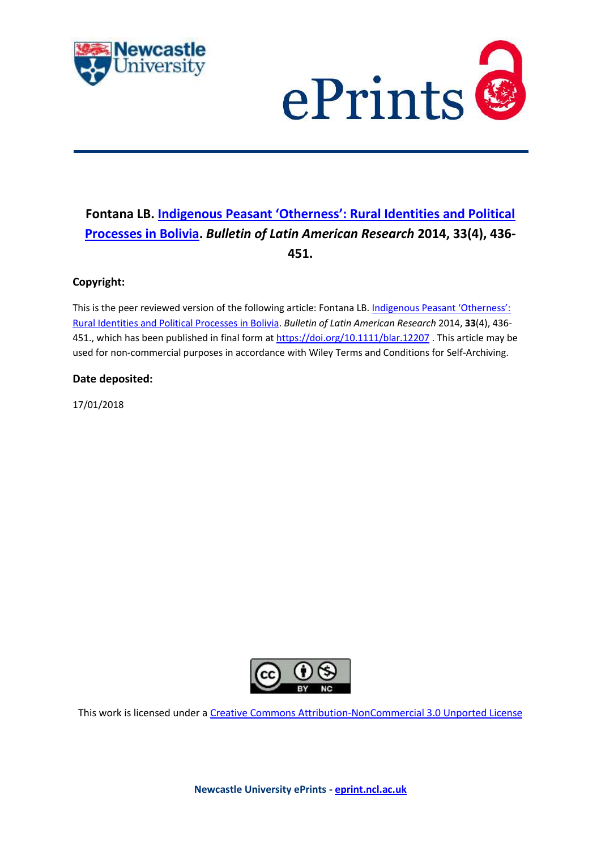



# **Fontana LB. [Indigenous Peasant 'Otherness': Rural Identities and Political](https://myimpact.ncl.ac.uk/ViewPublication.aspx?id=245237)  [Processes in Bolivia.](https://myimpact.ncl.ac.uk/ViewPublication.aspx?id=245237)** *Bulletin of Latin American Research* **2014, 33(4), 436- 451.**

# **Copyright:**

This is the peer reviewed version of the following article: Fontana LB. Indigenous Peasant 'Otherness': [Rural Identities and Political Processes in Bolivia.](https://myimpact.ncl.ac.uk/ViewPublication.aspx?id=245237) *Bulletin of Latin American Research* 2014, **33**(4), 436 451., which has been published in final form a[t https://doi.org/10.1111/blar.12207](https://doi.org/10.1111/blar.12207). This article may be used for non-commercial purposes in accordance with Wiley Terms and Conditions for Self-Archiving.

#### **Date deposited:**

17/01/2018



This work is licensed under a [Creative Commons Attribution-NonCommercial 3.0 Unported License](http://creativecommons.org/licenses/by-nc/3.0/deed.en_GB)

**Newcastle University ePrints - [eprint.ncl.ac.uk](http://eprint.ncl.ac.uk/)**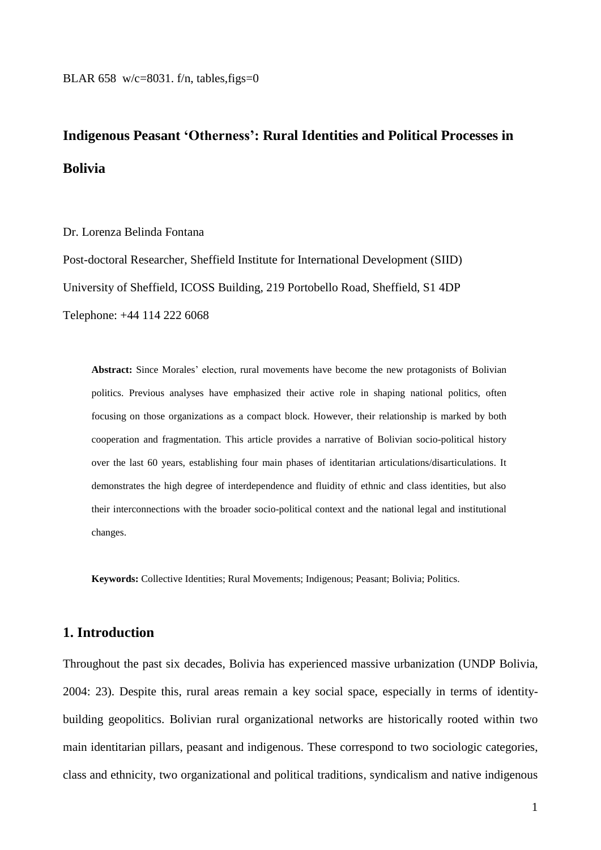# **Indigenous Peasant 'Otherness': Rural Identities and Political Processes in Bolivia**

Dr. Lorenza Belinda Fontana

Post-doctoral Researcher, Sheffield Institute for International Development (SIID) University of Sheffield, ICOSS Building, 219 Portobello Road, Sheffield, S1 4DP Telephone: +44 114 222 6068

**Abstract:** Since Morales' election, rural movements have become the new protagonists of Bolivian politics. Previous analyses have emphasized their active role in shaping national politics, often focusing on those organizations as a compact block. However, their relationship is marked by both cooperation and fragmentation. This article provides a narrative of Bolivian socio-political history over the last 60 years, establishing four main phases of identitarian articulations/disarticulations. It demonstrates the high degree of interdependence and fluidity of ethnic and class identities, but also their interconnections with the broader socio-political context and the national legal and institutional changes.

**Keywords:** Collective Identities; Rural Movements; Indigenous; Peasant; Bolivia; Politics.

### **1. Introduction**

Throughout the past six decades, Bolivia has experienced massive urbanization (UNDP Bolivia, 2004: 23). Despite this, rural areas remain a key social space, especially in terms of identitybuilding geopolitics. Bolivian rural organizational networks are historically rooted within two main identitarian pillars, peasant and indigenous. These correspond to two sociologic categories, class and ethnicity, two organizational and political traditions, syndicalism and native indigenous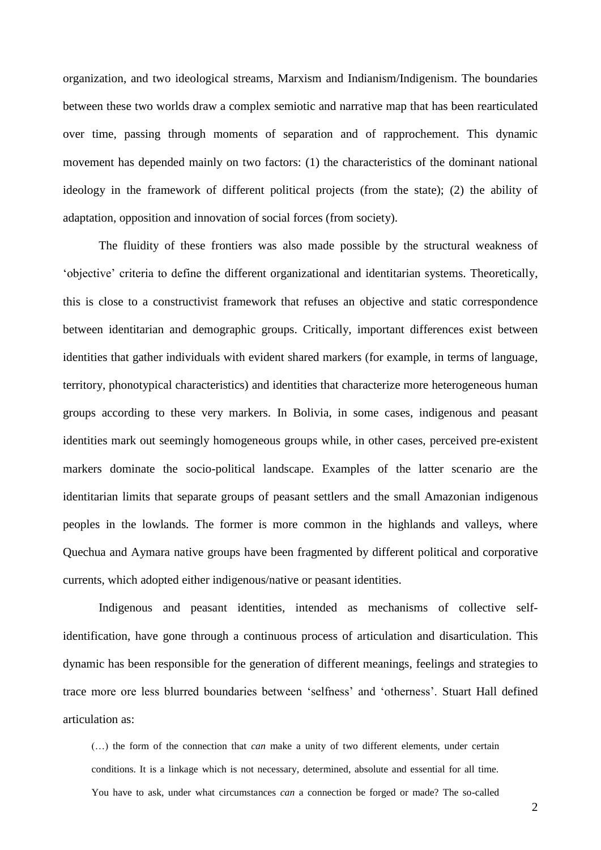organization, and two ideological streams, Marxism and Indianism/Indigenism. The boundaries between these two worlds draw a complex semiotic and narrative map that has been rearticulated over time, passing through moments of separation and of rapprochement. This dynamic movement has depended mainly on two factors: (1) the characteristics of the dominant national ideology in the framework of different political projects (from the state); (2) the ability of adaptation, opposition and innovation of social forces (from society).

The fluidity of these frontiers was also made possible by the structural weakness of 'objective' criteria to define the different organizational and identitarian systems. Theoretically, this is close to a constructivist framework that refuses an objective and static correspondence between identitarian and demographic groups. Critically, important differences exist between identities that gather individuals with evident shared markers (for example, in terms of language, territory, phonotypical characteristics) and identities that characterize more heterogeneous human groups according to these very markers. In Bolivia, in some cases, indigenous and peasant identities mark out seemingly homogeneous groups while, in other cases, perceived pre-existent markers dominate the socio-political landscape. Examples of the latter scenario are the identitarian limits that separate groups of peasant settlers and the small Amazonian indigenous peoples in the lowlands. The former is more common in the highlands and valleys, where Quechua and Aymara native groups have been fragmented by different political and corporative currents, which adopted either indigenous/native or peasant identities.

Indigenous and peasant identities, intended as mechanisms of collective selfidentification, have gone through a continuous process of articulation and disarticulation. This dynamic has been responsible for the generation of different meanings, feelings and strategies to trace more ore less blurred boundaries between 'selfness' and 'otherness'. Stuart Hall defined articulation as:

(…) the form of the connection that *can* make a unity of two different elements, under certain conditions. It is a linkage which is not necessary, determined, absolute and essential for all time. You have to ask, under what circumstances *can* a connection be forged or made? The so-called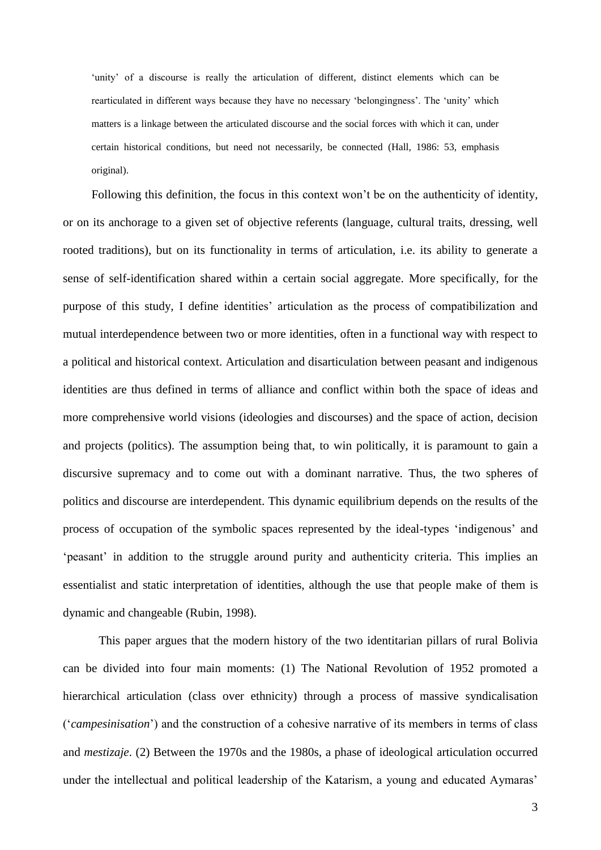'unity' of a discourse is really the articulation of different, distinct elements which can be rearticulated in different ways because they have no necessary 'belongingness'. The 'unity' which matters is a linkage between the articulated discourse and the social forces with which it can, under certain historical conditions, but need not necessarily, be connected (Hall, 1986: 53, emphasis original).

Following this definition, the focus in this context won't be on the authenticity of identity, or on its anchorage to a given set of objective referents (language, cultural traits, dressing, well rooted traditions), but on its functionality in terms of articulation, i.e. its ability to generate a sense of self-identification shared within a certain social aggregate. More specifically, for the purpose of this study, I define identities' articulation as the process of compatibilization and mutual interdependence between two or more identities, often in a functional way with respect to a political and historical context. Articulation and disarticulation between peasant and indigenous identities are thus defined in terms of alliance and conflict within both the space of ideas and more comprehensive world visions (ideologies and discourses) and the space of action, decision and projects (politics). The assumption being that, to win politically, it is paramount to gain a discursive supremacy and to come out with a dominant narrative. Thus, the two spheres of politics and discourse are interdependent. This dynamic equilibrium depends on the results of the process of occupation of the symbolic spaces represented by the ideal-types 'indigenous' and 'peasant' in addition to the struggle around purity and authenticity criteria. This implies an essentialist and static interpretation of identities, although the use that people make of them is dynamic and changeable (Rubin, 1998).

This paper argues that the modern history of the two identitarian pillars of rural Bolivia can be divided into four main moments: (1) The National Revolution of 1952 promoted a hierarchical articulation (class over ethnicity) through a process of massive syndicalisation ('*campesinisation*') and the construction of a cohesive narrative of its members in terms of class and *mestizaje*. (2) Between the 1970s and the 1980s, a phase of ideological articulation occurred under the intellectual and political leadership of the Katarism, a young and educated Aymaras'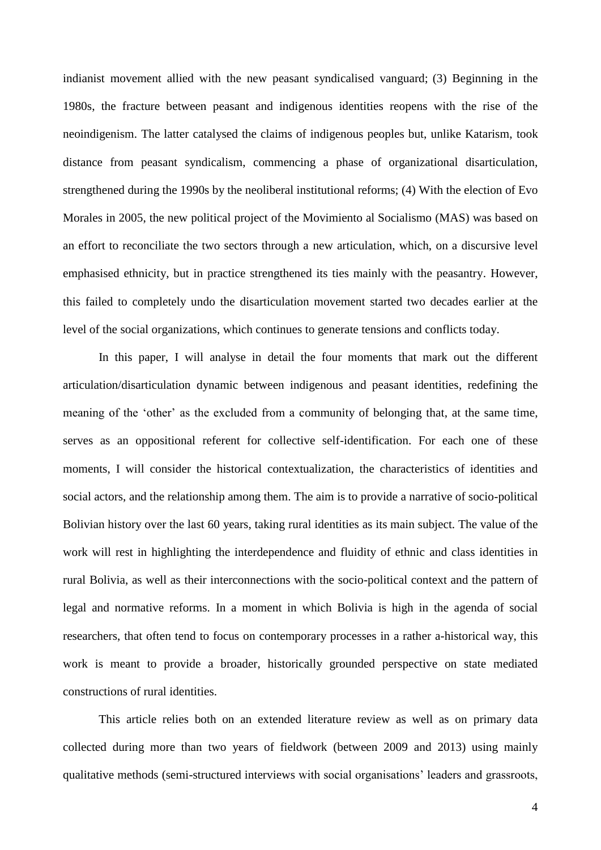indianist movement allied with the new peasant syndicalised vanguard; (3) Beginning in the 1980s, the fracture between peasant and indigenous identities reopens with the rise of the neoindigenism. The latter catalysed the claims of indigenous peoples but, unlike Katarism, took distance from peasant syndicalism, commencing a phase of organizational disarticulation, strengthened during the 1990s by the neoliberal institutional reforms; (4) With the election of Evo Morales in 2005, the new political project of the Movimiento al Socialismo (MAS) was based on an effort to reconciliate the two sectors through a new articulation, which, on a discursive level emphasised ethnicity, but in practice strengthened its ties mainly with the peasantry. However, this failed to completely undo the disarticulation movement started two decades earlier at the level of the social organizations, which continues to generate tensions and conflicts today.

In this paper, I will analyse in detail the four moments that mark out the different articulation/disarticulation dynamic between indigenous and peasant identities, redefining the meaning of the 'other' as the excluded from a community of belonging that, at the same time, serves as an oppositional referent for collective self-identification. For each one of these moments, I will consider the historical contextualization, the characteristics of identities and social actors, and the relationship among them. The aim is to provide a narrative of socio-political Bolivian history over the last 60 years, taking rural identities as its main subject. The value of the work will rest in highlighting the interdependence and fluidity of ethnic and class identities in rural Bolivia, as well as their interconnections with the socio-political context and the pattern of legal and normative reforms. In a moment in which Bolivia is high in the agenda of social researchers, that often tend to focus on contemporary processes in a rather a-historical way, this work is meant to provide a broader, historically grounded perspective on state mediated constructions of rural identities.

This article relies both on an extended literature review as well as on primary data collected during more than two years of fieldwork (between 2009 and 2013) using mainly qualitative methods (semi-structured interviews with social organisations' leaders and grassroots,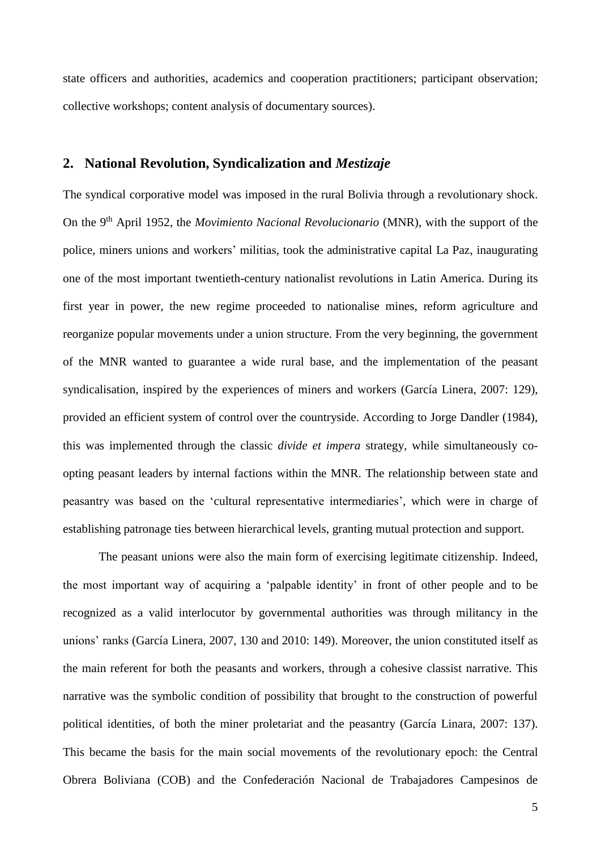state officers and authorities, academics and cooperation practitioners; participant observation; collective workshops; content analysis of documentary sources).

# **2. National Revolution, Syndicalization and** *Mestizaje*

The syndical corporative model was imposed in the rural Bolivia through a revolutionary shock. On the 9<sup>th</sup> April 1952, the *Movimiento Nacional Revolucionario* (MNR), with the support of the police, miners unions and workers' militias, took the administrative capital La Paz, inaugurating one of the most important twentieth-century nationalist revolutions in Latin America. During its first year in power, the new regime proceeded to nationalise mines, reform agriculture and reorganize popular movements under a union structure. From the very beginning, the government of the MNR wanted to guarantee a wide rural base, and the implementation of the peasant syndicalisation, inspired by the experiences of miners and workers (García Linera, 2007: 129), provided an efficient system of control over the countryside. According to Jorge Dandler (1984), this was implemented through the classic *divide et impera* strategy*,* while simultaneously coopting peasant leaders by internal factions within the MNR. The relationship between state and peasantry was based on the 'cultural representative intermediaries', which were in charge of establishing patronage ties between hierarchical levels, granting mutual protection and support.

The peasant unions were also the main form of exercising legitimate citizenship. Indeed, the most important way of acquiring a 'palpable identity' in front of other people and to be recognized as a valid interlocutor by governmental authorities was through militancy in the unions' ranks (García Linera, 2007, 130 and 2010: 149). Moreover, the union constituted itself as the main referent for both the peasants and workers, through a cohesive classist narrative. This narrative was the symbolic condition of possibility that brought to the construction of powerful political identities, of both the miner proletariat and the peasantry (García Linara, 2007: 137). This became the basis for the main social movements of the revolutionary epoch: the Central Obrera Boliviana (COB) and the Confederación Nacional de Trabajadores Campesinos de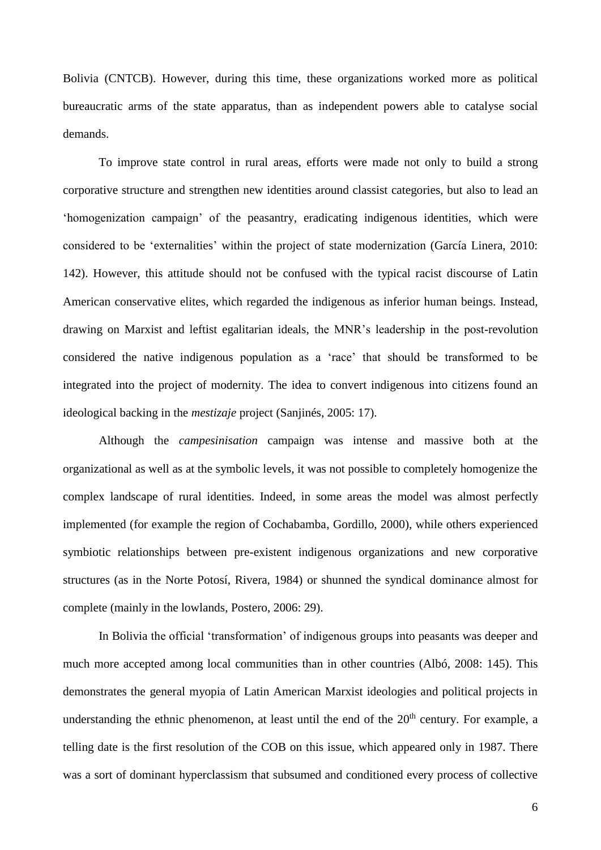Bolivia (CNTCB). However, during this time, these organizations worked more as political bureaucratic arms of the state apparatus, than as independent powers able to catalyse social demands.

To improve state control in rural areas, efforts were made not only to build a strong corporative structure and strengthen new identities around classist categories, but also to lead an 'homogenization campaign' of the peasantry, eradicating indigenous identities, which were considered to be 'externalities' within the project of state modernization (García Linera, 2010: 142). However, this attitude should not be confused with the typical racist discourse of Latin American conservative elites, which regarded the indigenous as inferior human beings. Instead, drawing on Marxist and leftist egalitarian ideals, the MNR's leadership in the post-revolution considered the native indigenous population as a 'race' that should be transformed to be integrated into the project of modernity. The idea to convert indigenous into citizens found an ideological backing in the *mestizaje* project (Sanjinés, 2005: 17).

Although the *campesinisation* campaign was intense and massive both at the organizational as well as at the symbolic levels, it was not possible to completely homogenize the complex landscape of rural identities. Indeed, in some areas the model was almost perfectly implemented (for example the region of Cochabamba, Gordillo, 2000), while others experienced symbiotic relationships between pre-existent indigenous organizations and new corporative structures (as in the Norte Potosí, Rivera, 1984) or shunned the syndical dominance almost for complete (mainly in the lowlands, Postero, 2006: 29).

In Bolivia the official 'transformation' of indigenous groups into peasants was deeper and much more accepted among local communities than in other countries (Albó, 2008: 145). This demonstrates the general myopia of Latin American Marxist ideologies and political projects in understanding the ethnic phenomenon, at least until the end of the  $20<sup>th</sup>$  century. For example, a telling date is the first resolution of the COB on this issue, which appeared only in 1987. There was a sort of dominant hyperclassism that subsumed and conditioned every process of collective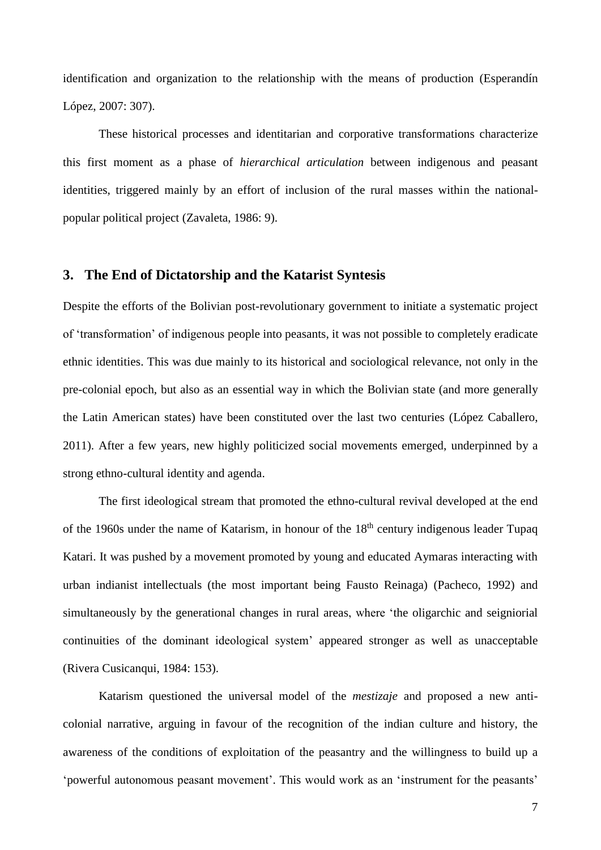identification and organization to the relationship with the means of production (Esperandín López, 2007: 307).

These historical processes and identitarian and corporative transformations characterize this first moment as a phase of *hierarchical articulation* between indigenous and peasant identities, triggered mainly by an effort of inclusion of the rural masses within the nationalpopular political project (Zavaleta, 1986: 9).

#### **3. The End of Dictatorship and the Katarist Syntesis**

Despite the efforts of the Bolivian post-revolutionary government to initiate a systematic project of 'transformation' of indigenous people into peasants, it was not possible to completely eradicate ethnic identities. This was due mainly to its historical and sociological relevance, not only in the pre-colonial epoch, but also as an essential way in which the Bolivian state (and more generally the Latin American states) have been constituted over the last two centuries (López Caballero, 2011). After a few years, new highly politicized social movements emerged, underpinned by a strong ethno-cultural identity and agenda.

The first ideological stream that promoted the ethno-cultural revival developed at the end of the 1960s under the name of Katarism, in honour of the 18<sup>th</sup> century indigenous leader Tupaq Katari. It was pushed by a movement promoted by young and educated Aymaras interacting with urban indianist intellectuals (the most important being Fausto Reinaga) (Pacheco, 1992) and simultaneously by the generational changes in rural areas, where 'the oligarchic and seigniorial continuities of the dominant ideological system' appeared stronger as well as unacceptable (Rivera Cusicanqui, 1984: 153).

Katarism questioned the universal model of the *mestizaje* and proposed a new anticolonial narrative, arguing in favour of the recognition of the indian culture and history, the awareness of the conditions of exploitation of the peasantry and the willingness to build up a 'powerful autonomous peasant movement'. This would work as an 'instrument for the peasants'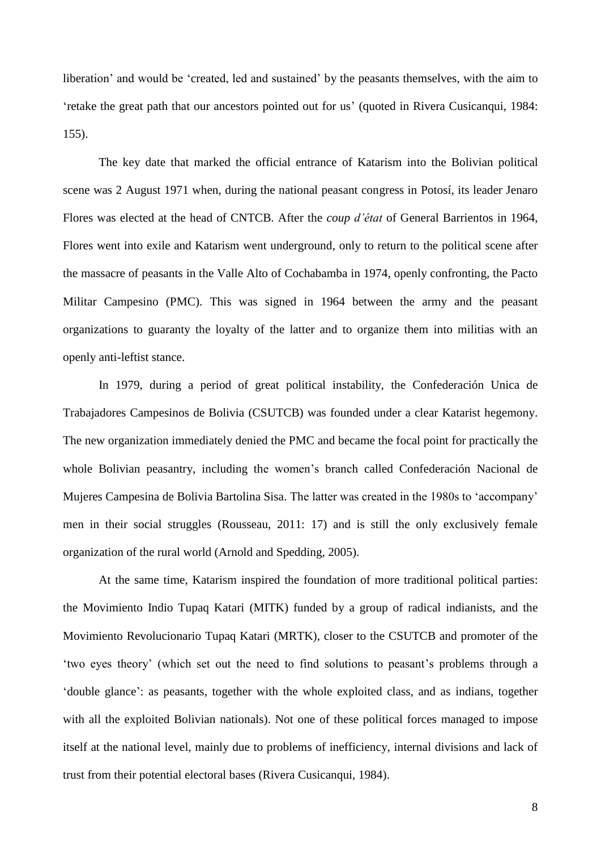liberation' and would be 'created, led and sustained' by the peasants themselves, with the aim to 'retake the great path that our ancestors pointed out for us' (quoted in Rivera Cusicanqui, 1984: 155).

The key date that marked the official entrance of Katarism into the Bolivian political scene was 2 August 1971 when, during the national peasant congress in Potosí, its leader Jenaro Flores was elected at the head of CNTCB. After the *coup d'état* of General Barrientos in 1964, Flores went into exile and Katarism went underground, only to return to the political scene after the massacre of peasants in the Valle Alto of Cochabamba in 1974, openly confronting, the Pacto Militar Campesino (PMC). This was signed in 1964 between the army and the peasant organizations to guaranty the loyalty of the latter and to organize them into militias with an openly anti-leftist stance.

In 1979, during a period of great political instability, the Confederación Unica de Trabajadores Campesinos de Bolivia (CSUTCB) was founded under a clear Katarist hegemony. The new organization immediately denied the PMC and became the focal point for practically the whole Bolivian peasantry, including the women's branch called Confederación Nacional de Mujeres Campesina de Bolivia Bartolina Sisa. The latter was created in the 1980s to 'accompany' men in their social struggles (Rousseau, 2011: 17) and is still the only exclusively female organization of the rural world (Arnold and Spedding, 2005).

At the same time, Katarism inspired the foundation of more traditional political parties: the Movimiento Indio Tupaq Katari (MITK) funded by a group of radical indianists, and the Movimiento Revolucionario Tupaq Katari (MRTK), closer to the CSUTCB and promoter of the 'two eyes theory' (which set out the need to find solutions to peasant's problems through a 'double glance': as peasants, together with the whole exploited class, and as indians, together with all the exploited Bolivian nationals). Not one of these political forces managed to impose itself at the national level, mainly due to problems of inefficiency, internal divisions and lack of trust from their potential electoral bases (Rivera Cusicanqui, 1984).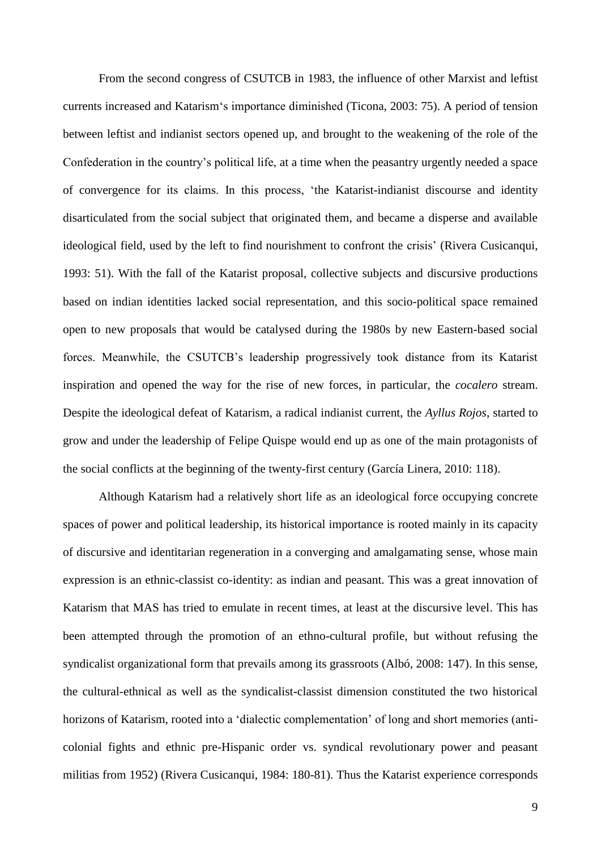From the second congress of CSUTCB in 1983, the influence of other Marxist and leftist currents increased and Katarism's importance diminished (Ticona, 2003: 75). A period of tension between leftist and indianist sectors opened up, and brought to the weakening of the role of the Confederation in the country's political life, at a time when the peasantry urgently needed a space of convergence for its claims. In this process, 'the Katarist-indianist discourse and identity disarticulated from the social subject that originated them, and became a disperse and available ideological field, used by the left to find nourishment to confront the crisis' (Rivera Cusicanqui, 1993: 51). With the fall of the Katarist proposal, collective subjects and discursive productions based on indian identities lacked social representation, and this socio-political space remained open to new proposals that would be catalysed during the 1980s by new Eastern-based social forces. Meanwhile, the CSUTCB's leadership progressively took distance from its Katarist inspiration and opened the way for the rise of new forces, in particular, the *cocalero* stream. Despite the ideological defeat of Katarism, a radical indianist current, the *Ayllus Rojos*, started to grow and under the leadership of Felipe Quispe would end up as one of the main protagonists of the social conflicts at the beginning of the twenty-first century (García Linera, 2010: 118).

Although Katarism had a relatively short life as an ideological force occupying concrete spaces of power and political leadership, its historical importance is rooted mainly in its capacity of discursive and identitarian regeneration in a converging and amalgamating sense, whose main expression is an ethnic-classist co-identity: as indian and peasant. This was a great innovation of Katarism that MAS has tried to emulate in recent times, at least at the discursive level. This has been attempted through the promotion of an ethno-cultural profile, but without refusing the syndicalist organizational form that prevails among its grassroots (Albó, 2008: 147). In this sense, the cultural-ethnical as well as the syndicalist-classist dimension constituted the two historical horizons of Katarism, rooted into a 'dialectic complementation' of long and short memories (anticolonial fights and ethnic pre-Hispanic order vs. syndical revolutionary power and peasant militias from 1952) (Rivera Cusicanqui, 1984: 180-81). Thus the Katarist experience corresponds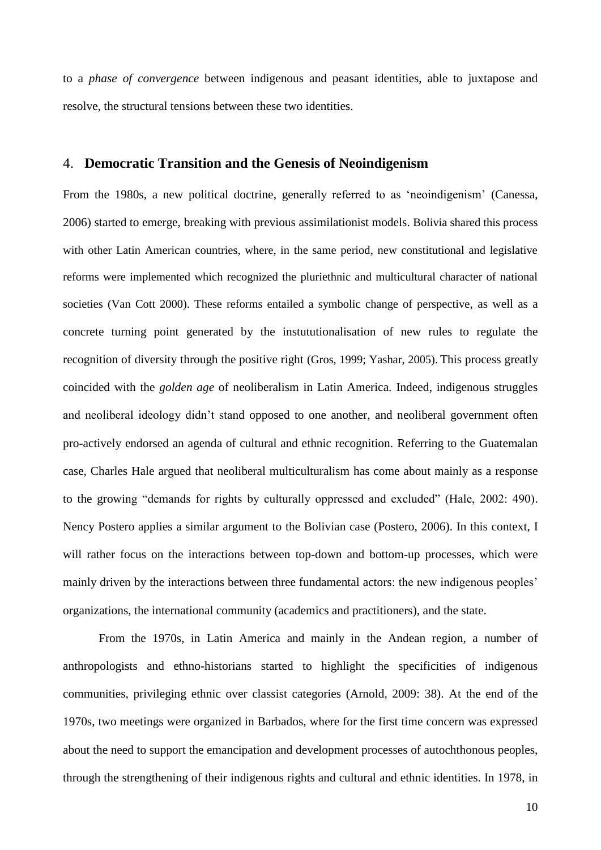to a *phase of convergence* between indigenous and peasant identities, able to juxtapose and resolve, the structural tensions between these two identities.

#### 4. **Democratic Transition and the Genesis of Neoindigenism**

From the 1980s, a new political doctrine, generally referred to as 'neoindigenism' (Canessa, 2006) started to emerge, breaking with previous assimilationist models. Bolivia shared this process with other Latin American countries, where, in the same period, new constitutional and legislative reforms were implemented which recognized the pluriethnic and multicultural character of national societies (Van Cott 2000). These reforms entailed a symbolic change of perspective, as well as a concrete turning point generated by the instututionalisation of new rules to regulate the recognition of diversity through the positive right (Gros, 1999; Yashar, 2005). This process greatly coincided with the *golden age* of neoliberalism in Latin America. Indeed, indigenous struggles and neoliberal ideology didn't stand opposed to one another, and neoliberal government often pro-actively endorsed an agenda of cultural and ethnic recognition. Referring to the Guatemalan case, Charles Hale argued that neoliberal multiculturalism has come about mainly as a response to the growing "demands for rights by culturally oppressed and excluded" (Hale, 2002: 490). Nency Postero applies a similar argument to the Bolivian case (Postero, 2006). In this context, I will rather focus on the interactions between top-down and bottom-up processes, which were mainly driven by the interactions between three fundamental actors: the new indigenous peoples' organizations, the international community (academics and practitioners), and the state.

From the 1970s, in Latin America and mainly in the Andean region, a number of anthropologists and ethno-historians started to highlight the specificities of indigenous communities, privileging ethnic over classist categories (Arnold, 2009: 38). At the end of the 1970s, two meetings were organized in Barbados, where for the first time concern was expressed about the need to support the emancipation and development processes of autochthonous peoples, through the strengthening of their indigenous rights and cultural and ethnic identities. In 1978, in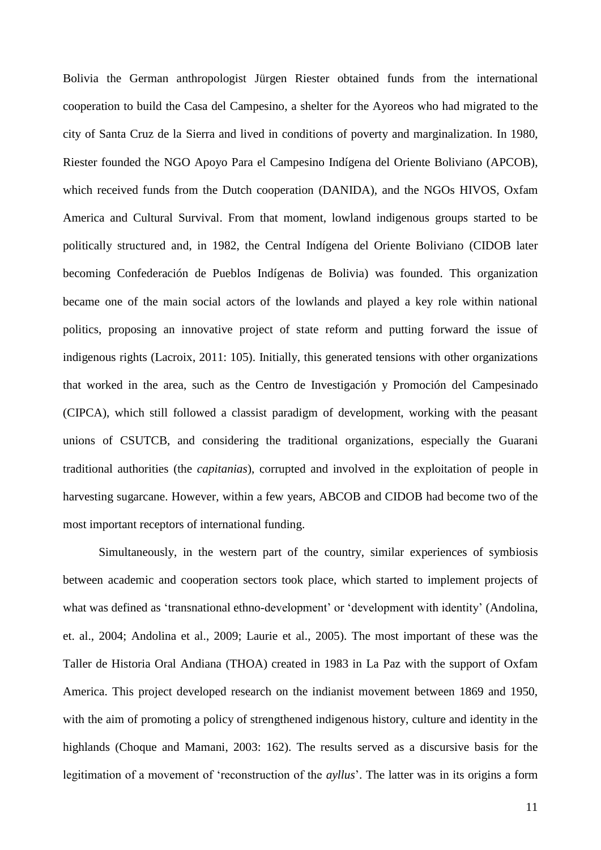Bolivia the German anthropologist Jürgen Riester obtained funds from the international cooperation to build the Casa del Campesino, a shelter for the Ayoreos who had migrated to the city of Santa Cruz de la Sierra and lived in conditions of poverty and marginalization. In 1980, Riester founded the NGO [Apoyo Para el Campesino Indígena del Oriente Boliviano](http://es.wikipedia.org/w/index.php?title=Apoyo_Para_el_Campesino_Ind%C3%ADgena_del_Oriente_Boliviano&action=edit&redlink=1) (APCOB), which received funds from the Dutch cooperation (DANIDA), and the NGOs HIVOS, Oxfam America and Cultural Survival. From that moment, lowland indigenous groups started to be politically structured and, in 1982, the Central Indígena del Oriente Boliviano (CIDOB later becoming Confederación de Pueblos Indígenas de Bolivia) was founded. This organization became one of the main social actors of the lowlands and played a key role within national politics, proposing an innovative project of state reform and putting forward the issue of indigenous rights (Lacroix, 2011: 105). Initially, this generated tensions with other organizations that worked in the area, such as the Centro de Investigación y Promoción del Campesinado (CIPCA), which still followed a classist paradigm of development, working with the peasant unions of CSUTCB, and considering the traditional organizations, especially the Guarani traditional authorities (the *capitanias*), corrupted and involved in the exploitation of people in harvesting sugarcane. However, within a few years, ABCOB and CIDOB had become two of the most important receptors of international funding.

Simultaneously, in the western part of the country, similar experiences of symbiosis between academic and cooperation sectors took place, which started to implement projects of what was defined as 'transnational ethno-development' or 'development with identity' (Andolina, et. al., 2004; Andolina et al., 2009; Laurie et al., 2005). The most important of these was the Taller de Historia Oral Andiana (THOA) created in 1983 in La Paz with the support of Oxfam America. This project developed research on the indianist movement between 1869 and 1950, with the aim of promoting a policy of strengthened indigenous history, culture and identity in the highlands (Choque and Mamani, 2003: 162). The results served as a discursive basis for the legitimation of a movement of 'reconstruction of the *ayllus*'. The latter was in its origins a form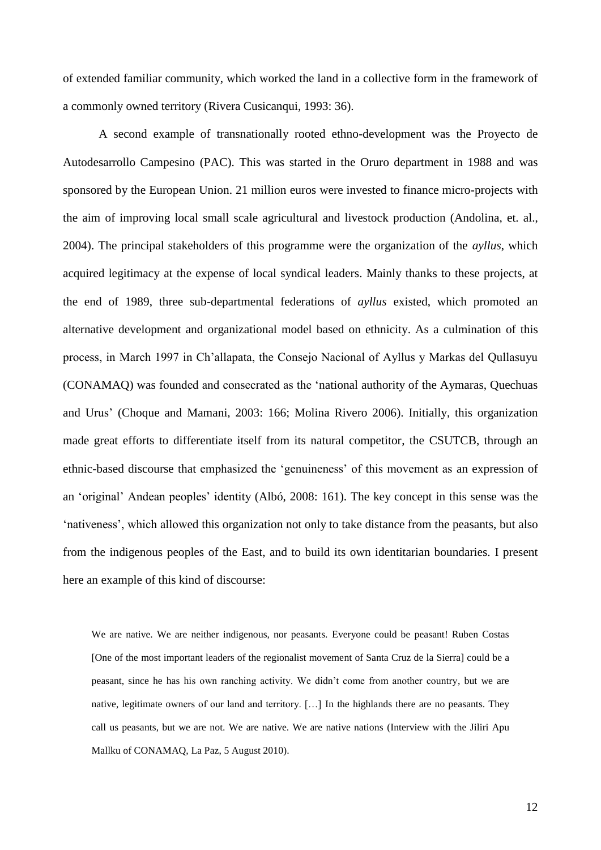of extended familiar community, which worked the land in a collective form in the framework of a commonly owned territory (Rivera Cusicanqui, 1993: 36).

A second example of transnationally rooted ethno-development was the Proyecto de Autodesarrollo Campesino (PAC). This was started in the Oruro department in 1988 and was sponsored by the European Union. 21 million euros were invested to finance micro-projects with the aim of improving local small scale agricultural and livestock production (Andolina, et. al., 2004). The principal stakeholders of this programme were the organization of the *ayllus*, which acquired legitimacy at the expense of local syndical leaders. Mainly thanks to these projects, at the end of 1989, three sub-departmental federations of *ayllus* existed, which promoted an alternative development and organizational model based on ethnicity. As a culmination of this process, in March 1997 in Ch'allapata, the Consejo Nacional of Ayllus y Markas del Qullasuyu (CONAMAQ) was founded and consecrated as the 'national authority of the Aymaras, Quechuas and Urus' (Choque and Mamani, 2003: 166; Molina Rivero 2006). Initially, this organization made great efforts to differentiate itself from its natural competitor, the CSUTCB, through an ethnic-based discourse that emphasized the 'genuineness' of this movement as an expression of an 'original' Andean peoples' identity (Albó, 2008: 161). The key concept in this sense was the 'nativeness', which allowed this organization not only to take distance from the peasants, but also from the indigenous peoples of the East, and to build its own identitarian boundaries. I present here an example of this kind of discourse:

We are native. We are neither indigenous, nor peasants. Everyone could be peasant! Ruben Costas [One of the most important leaders of the regionalist movement of Santa Cruz de la Sierra] could be a peasant, since he has his own ranching activity. We didn't come from another country, but we are native, legitimate owners of our land and territory. […] In the highlands there are no peasants. They call us peasants, but we are not. We are native. We are native nations (Interview with the Jiliri Apu Mallku of CONAMAQ, La Paz, 5 August 2010).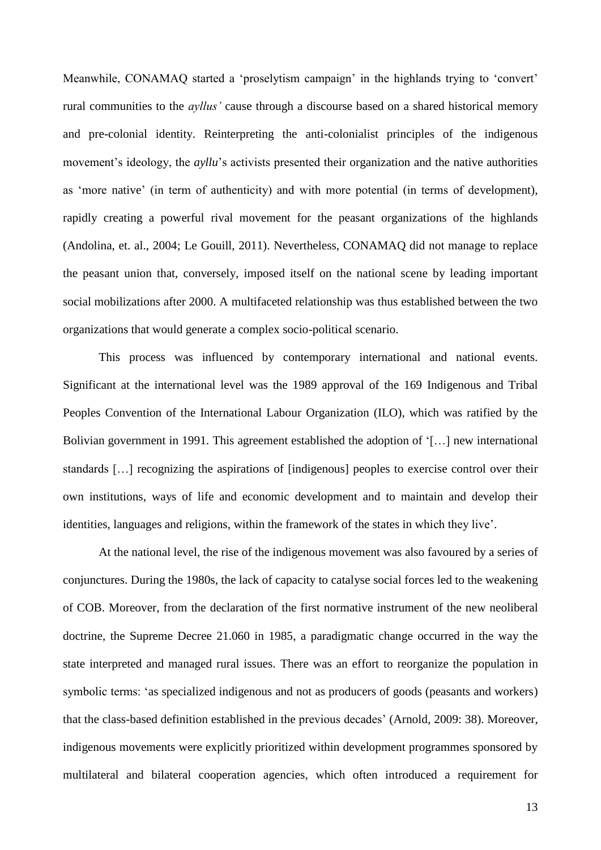Meanwhile, CONAMAQ started a 'proselytism campaign' in the highlands trying to 'convert' rural communities to the *ayllus'* cause through a discourse based on a shared historical memory and pre-colonial identity. Reinterpreting the anti-colonialist principles of the indigenous movement's ideology, the *ayllu*'s activists presented their organization and the native authorities as 'more native' (in term of authenticity) and with more potential (in terms of development), rapidly creating a powerful rival movement for the peasant organizations of the highlands (Andolina, et. al., 2004; Le Gouill, 2011). Nevertheless, CONAMAQ did not manage to replace the peasant union that, conversely, imposed itself on the national scene by leading important social mobilizations after 2000. A multifaceted relationship was thus established between the two organizations that would generate a complex socio-political scenario.

This process was influenced by contemporary international and national events. Significant at the international level was the 1989 approval of the 169 Indigenous and Tribal Peoples Convention of the International Labour Organization (ILO), which was ratified by the Bolivian government in 1991. This agreement established the adoption of '[…] new international standards […] recognizing the aspirations of [indigenous] peoples to exercise control over their own institutions, ways of life and economic development and to maintain and develop their identities, languages and religions, within the framework of the states in which they live'.

At the national level, the rise of the indigenous movement was also favoured by a series of conjunctures. During the 1980s, the lack of capacity to catalyse social forces led to the weakening of COB. Moreover, from the declaration of the first normative instrument of the new neoliberal doctrine, the Supreme Decree 21.060 in 1985, a paradigmatic change occurred in the way the state interpreted and managed rural issues. There was an effort to reorganize the population in symbolic terms: 'as specialized indigenous and not as producers of goods (peasants and workers) that the class-based definition established in the previous decades' (Arnold, 2009: 38). Moreover, indigenous movements were explicitly prioritized within development programmes sponsored by multilateral and bilateral cooperation agencies, which often introduced a requirement for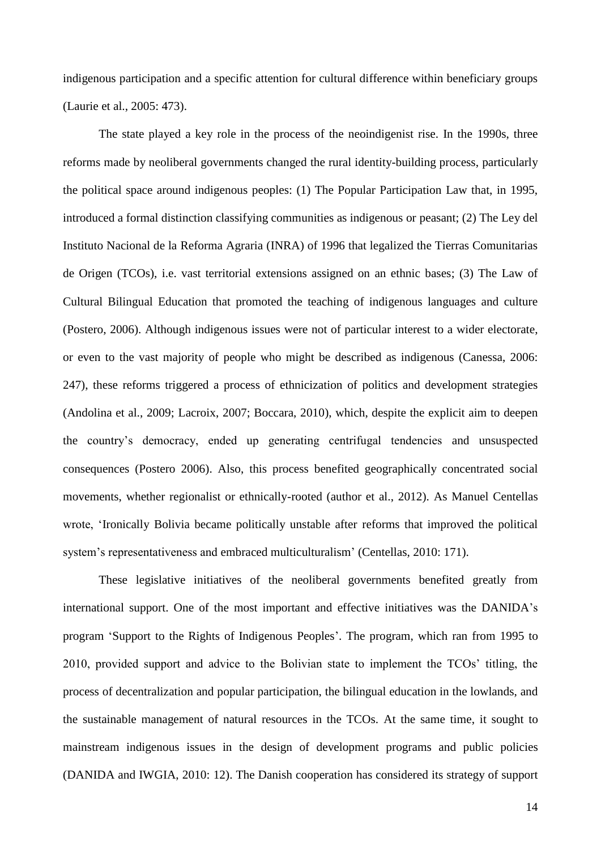indigenous participation and a specific attention for cultural difference within beneficiary groups (Laurie et al., 2005: 473).

The state played a key role in the process of the neoindigenist rise. In the 1990s, three reforms made by neoliberal governments changed the rural identity-building process, particularly the political space around indigenous peoples: (1) The Popular Participation Law that, in 1995, introduced a formal distinction classifying communities as indigenous or peasant; (2) The Ley del Instituto Nacional de la Reforma Agraria (INRA) of 1996 that legalized the Tierras Comunitarias de Origen (TCOs), i.e. vast territorial extensions assigned on an ethnic bases; (3) The Law of Cultural Bilingual Education that promoted the teaching of indigenous languages and culture (Postero, 2006). Although indigenous issues were not of particular interest to a wider electorate, or even to the vast majority of people who might be described as indigenous (Canessa, 2006: 247), these reforms triggered a process of ethnicization of politics and development strategies (Andolina et al., 2009; Lacroix, 2007; Boccara, 2010), which, despite the explicit aim to deepen the country's democracy, ended up generating centrifugal tendencies and unsuspected consequences (Postero 2006). Also, this process benefited geographically concentrated social movements, whether regionalist or ethnically-rooted (author et al., 2012). As Manuel Centellas wrote, 'Ironically Bolivia became politically unstable after reforms that improved the political system's representativeness and embraced multiculturalism' (Centellas, 2010: 171).

These legislative initiatives of the neoliberal governments benefited greatly from international support. One of the most important and effective initiatives was the DANIDA's program 'Support to the Rights of Indigenous Peoples'. The program, which ran from 1995 to 2010, provided support and advice to the Bolivian state to implement the TCOs' titling, the process of decentralization and popular participation, the bilingual education in the lowlands, and the sustainable management of natural resources in the TCOs. At the same time, it sought to mainstream indigenous issues in the design of development programs and public policies (DANIDA and IWGIA, 2010: 12). The Danish cooperation has considered its strategy of support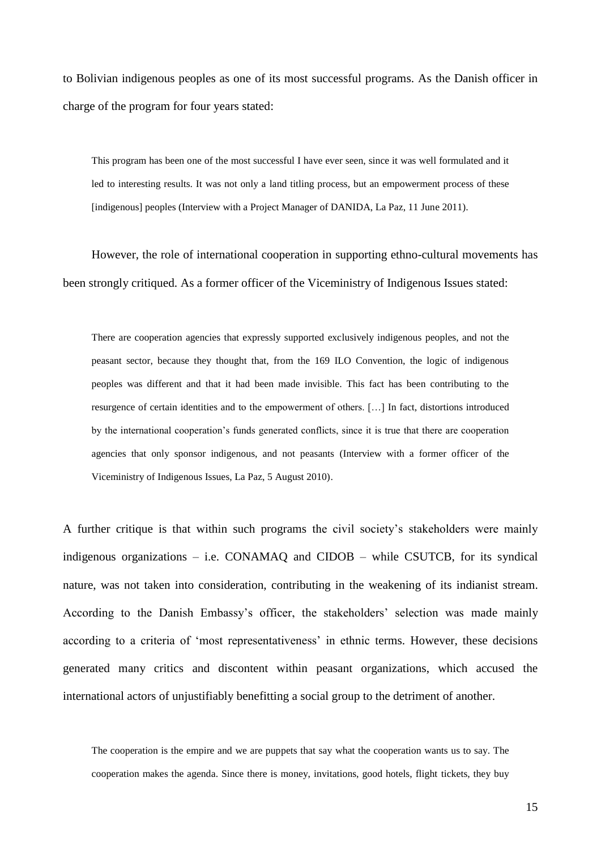to Bolivian indigenous peoples as one of its most successful programs. As the Danish officer in charge of the program for four years stated:

This program has been one of the most successful I have ever seen, since it was well formulated and it led to interesting results. It was not only a land titling process, but an empowerment process of these [indigenous] peoples (Interview with a Project Manager of DANIDA, La Paz, 11 June 2011).

However, the role of international cooperation in supporting ethno-cultural movements has been strongly critiqued. As a former officer of the Viceministry of Indigenous Issues stated:

There are cooperation agencies that expressly supported exclusively indigenous peoples, and not the peasant sector, because they thought that, from the 169 ILO Convention, the logic of indigenous peoples was different and that it had been made invisible. This fact has been contributing to the resurgence of certain identities and to the empowerment of others. […] In fact, distortions introduced by the international cooperation's funds generated conflicts, since it is true that there are cooperation agencies that only sponsor indigenous, and not peasants (Interview with a former officer of the Viceministry of Indigenous Issues, La Paz, 5 August 2010).

A further critique is that within such programs the civil society's stakeholders were mainly indigenous organizations – i.e. CONAMAQ and CIDOB – while CSUTCB, for its syndical nature, was not taken into consideration, contributing in the weakening of its indianist stream. According to the Danish Embassy's officer, the stakeholders' selection was made mainly according to a criteria of 'most representativeness' in ethnic terms. However, these decisions generated many critics and discontent within peasant organizations, which accused the international actors of unjustifiably benefitting a social group to the detriment of another.

The cooperation is the empire and we are puppets that say what the cooperation wants us to say. The cooperation makes the agenda. Since there is money, invitations, good hotels, flight tickets, they buy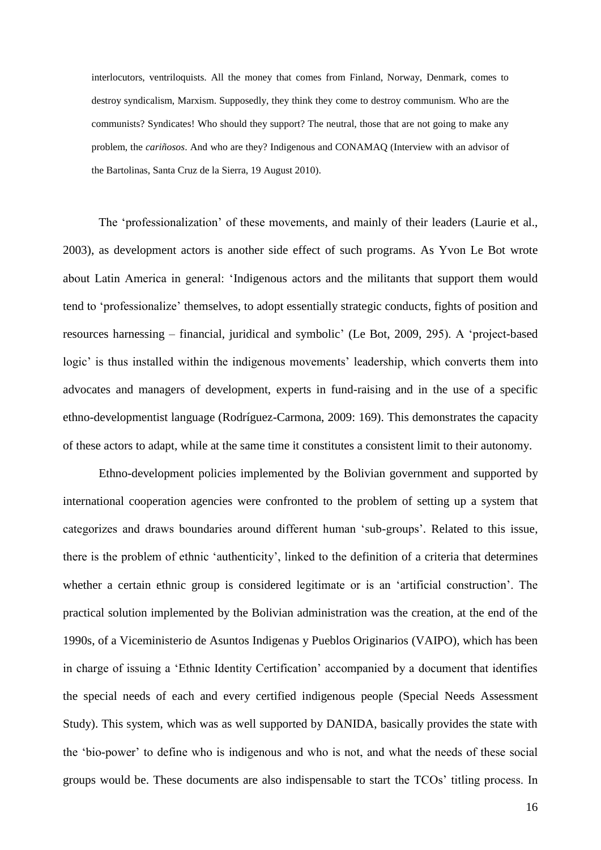interlocutors, ventriloquists. All the money that comes from Finland, Norway, Denmark, comes to destroy syndicalism, Marxism. Supposedly, they think they come to destroy communism. Who are the communists? Syndicates! Who should they support? The neutral, those that are not going to make any problem, the *cariñosos*. And who are they? Indigenous and CONAMAQ (Interview with an advisor of the Bartolinas, Santa Cruz de la Sierra, 19 August 2010).

The 'professionalization' of these movements, and mainly of their leaders (Laurie et al., 2003), as development actors is another side effect of such programs. As Yvon Le Bot wrote about Latin America in general: 'Indigenous actors and the militants that support them would tend to 'professionalize' themselves, to adopt essentially strategic conducts, fights of position and resources harnessing – financial, juridical and symbolic' (Le Bot, 2009, 295). A 'project-based logic' is thus installed within the indigenous movements' leadership, which converts them into advocates and managers of development, experts in fund-raising and in the use of a specific ethno-developmentist language (Rodríguez-Carmona, 2009: 169). This demonstrates the capacity of these actors to adapt, while at the same time it constitutes a consistent limit to their autonomy.

Ethno-development policies implemented by the Bolivian government and supported by international cooperation agencies were confronted to the problem of setting up a system that categorizes and draws boundaries around different human 'sub-groups'. Related to this issue, there is the problem of ethnic 'authenticity', linked to the definition of a criteria that determines whether a certain ethnic group is considered legitimate or is an 'artificial construction'. The practical solution implemented by the Bolivian administration was the creation, at the end of the 1990s, of a Viceministerio de Asuntos Indigenas y Pueblos Originarios (VAIPO), which has been in charge of issuing a 'Ethnic Identity Certification' accompanied by a document that identifies the special needs of each and every certified indigenous people (Special Needs Assessment Study). This system, which was as well supported by DANIDA, basically provides the state with the 'bio-power' to define who is indigenous and who is not, and what the needs of these social groups would be. These documents are also indispensable to start the TCOs' titling process. In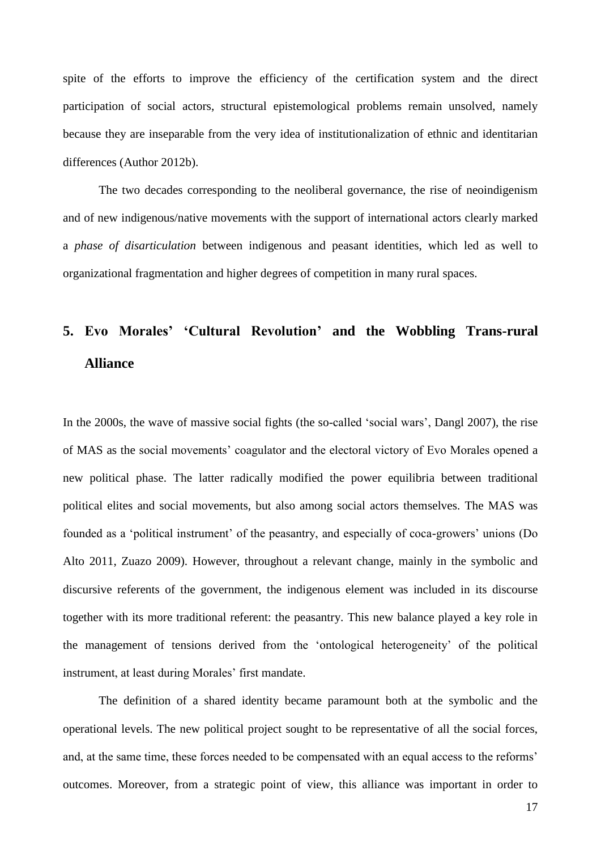spite of the efforts to improve the efficiency of the certification system and the direct participation of social actors, structural epistemological problems remain unsolved, namely because they are inseparable from the very idea of institutionalization of ethnic and identitarian differences (Author 2012b).

The two decades corresponding to the neoliberal governance, the rise of neoindigenism and of new indigenous/native movements with the support of international actors clearly marked a *phase of disarticulation* between indigenous and peasant identities, which led as well to organizational fragmentation and higher degrees of competition in many rural spaces.

# **5. Evo Morales' 'Cultural Revolution' and the Wobbling Trans-rural Alliance**

In the 2000s, the wave of massive social fights (the so-called 'social wars', Dangl 2007), the rise of MAS as the social movements' coagulator and the electoral victory of Evo Morales opened a new political phase. The latter radically modified the power equilibria between traditional political elites and social movements, but also among social actors themselves. The MAS was founded as a 'political instrument' of the peasantry, and especially of coca-growers' unions (Do Alto 2011, Zuazo 2009). However, throughout a relevant change, mainly in the symbolic and discursive referents of the government, the indigenous element was included in its discourse together with its more traditional referent: the peasantry. This new balance played a key role in the management of tensions derived from the 'ontological heterogeneity' of the political instrument, at least during Morales' first mandate.

The definition of a shared identity became paramount both at the symbolic and the operational levels. The new political project sought to be representative of all the social forces, and, at the same time, these forces needed to be compensated with an equal access to the reforms' outcomes. Moreover, from a strategic point of view, this alliance was important in order to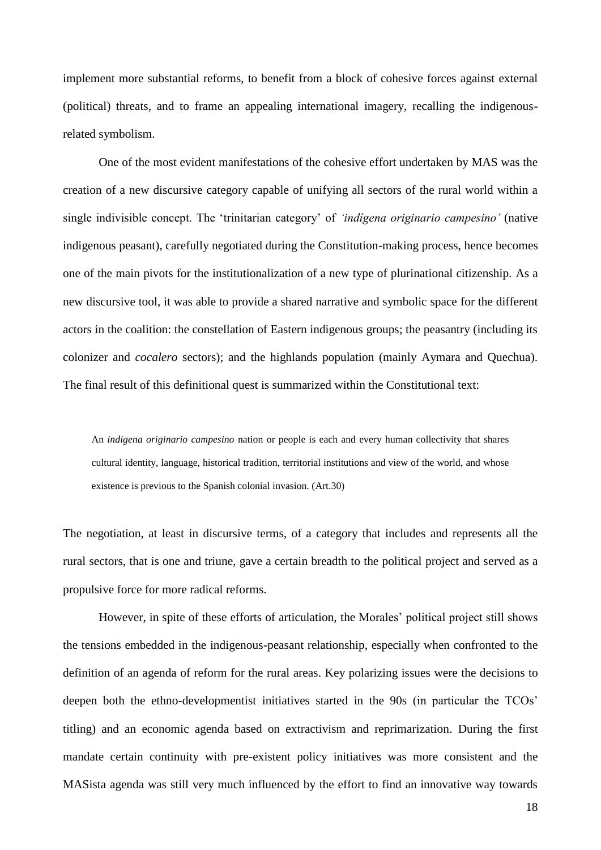implement more substantial reforms, to benefit from a block of cohesive forces against external (political) threats, and to frame an appealing international imagery, recalling the indigenousrelated symbolism.

One of the most evident manifestations of the cohesive effort undertaken by MAS was the creation of a new discursive category capable of unifying all sectors of the rural world within a single indivisible concept. The 'trinitarian category' of *'indígena originario campesino'* (native indigenous peasant), carefully negotiated during the Constitution-making process, hence becomes one of the main pivots for the institutionalization of a new type of plurinational citizenship. As a new discursive tool, it was able to provide a shared narrative and symbolic space for the different actors in the coalition: the constellation of Eastern indigenous groups; the peasantry (including its colonizer and *cocalero* sectors); and the highlands population (mainly Aymara and Quechua). The final result of this definitional quest is summarized within the Constitutional text:

An *indigena originario campesino* nation or people is each and every human collectivity that shares cultural identity, language, historical tradition, territorial institutions and view of the world, and whose existence is previous to the Spanish colonial invasion. (Art.30)

The negotiation, at least in discursive terms, of a category that includes and represents all the rural sectors, that is one and triune, gave a certain breadth to the political project and served as a propulsive force for more radical reforms.

However, in spite of these efforts of articulation, the Morales' political project still shows the tensions embedded in the indigenous-peasant relationship, especially when confronted to the definition of an agenda of reform for the rural areas. Key polarizing issues were the decisions to deepen both the ethno-developmentist initiatives started in the 90s (in particular the TCOs' titling) and an economic agenda based on extractivism and reprimarization. During the first mandate certain continuity with pre-existent policy initiatives was more consistent and the MASista agenda was still very much influenced by the effort to find an innovative way towards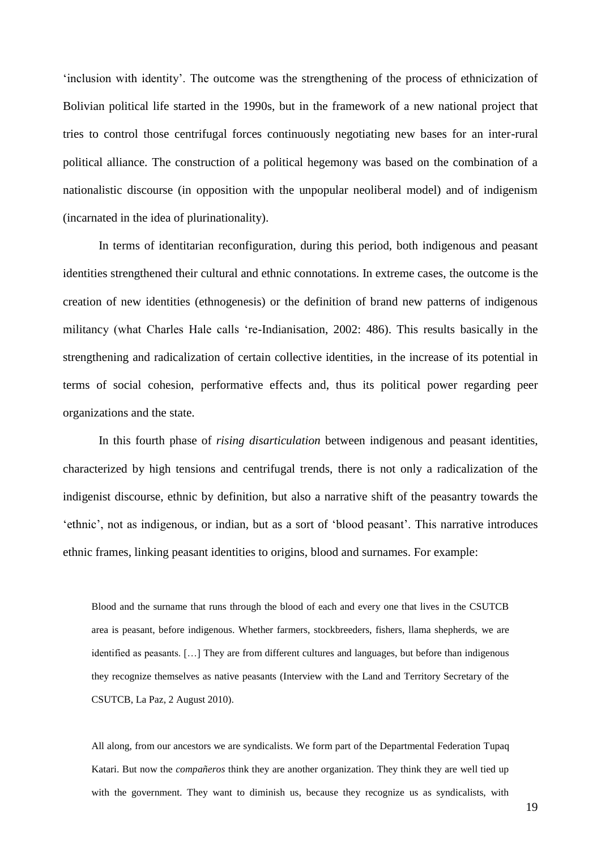'inclusion with identity'. The outcome was the strengthening of the process of ethnicization of Bolivian political life started in the 1990s, but in the framework of a new national project that tries to control those centrifugal forces continuously negotiating new bases for an inter-rural political alliance. The construction of a political hegemony was based on the combination of a nationalistic discourse (in opposition with the unpopular neoliberal model) and of indigenism (incarnated in the idea of plurinationality).

In terms of identitarian reconfiguration, during this period, both indigenous and peasant identities strengthened their cultural and ethnic connotations. In extreme cases, the outcome is the creation of new identities (ethnogenesis) or the definition of brand new patterns of indigenous militancy (what Charles Hale calls 're-Indianisation, 2002: 486). This results basically in the strengthening and radicalization of certain collective identities, in the increase of its potential in terms of social cohesion, performative effects and, thus its political power regarding peer organizations and the state.

In this fourth phase of *rising disarticulation* between indigenous and peasant identities, characterized by high tensions and centrifugal trends, there is not only a radicalization of the indigenist discourse, ethnic by definition, but also a narrative shift of the peasantry towards the 'ethnic', not as indigenous, or indian, but as a sort of 'blood peasant'. This narrative introduces ethnic frames, linking peasant identities to origins, blood and surnames. For example:

Blood and the surname that runs through the blood of each and every one that lives in the CSUTCB area is peasant, before indigenous. Whether farmers, stockbreeders, fishers, llama shepherds, we are identified as peasants. […] They are from different cultures and languages, but before than indigenous they recognize themselves as native peasants (Interview with the Land and Territory Secretary of the CSUTCB, La Paz, 2 August 2010).

All along, from our ancestors we are syndicalists. We form part of the Departmental Federation Tupaq Katari. But now the *compañeros* think they are another organization. They think they are well tied up with the government. They want to diminish us, because they recognize us as syndicalists, with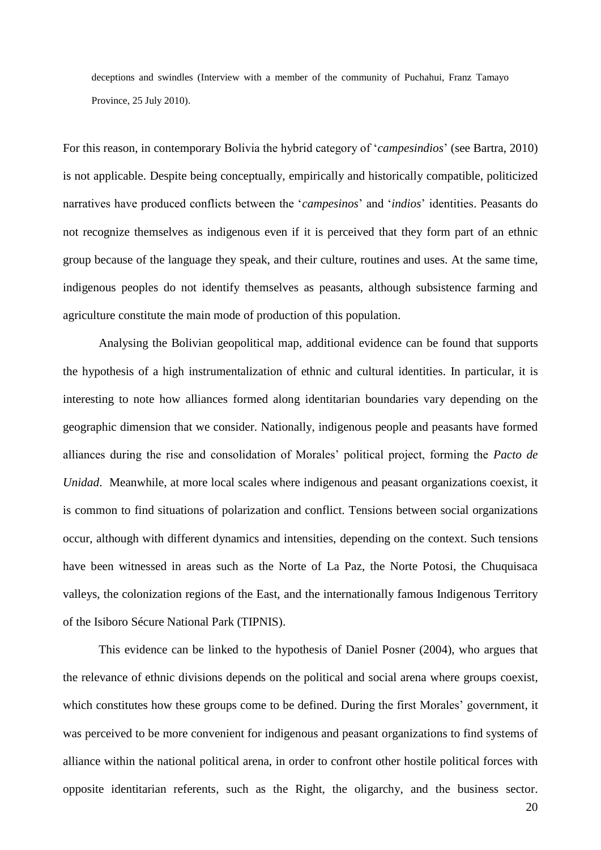deceptions and swindles (Interview with a member of the community of Puchahui, Franz Tamayo Province, 25 July 2010).

For this reason, in contemporary Bolivia the hybrid category of '*campesindios*' (see Bartra, 2010) is not applicable. Despite being conceptually, empirically and historically compatible, politicized narratives have produced conflicts between the '*campesinos*' and '*indios*' identities. Peasants do not recognize themselves as indigenous even if it is perceived that they form part of an ethnic group because of the language they speak, and their culture, routines and uses. At the same time, indigenous peoples do not identify themselves as peasants, although subsistence farming and agriculture constitute the main mode of production of this population.

Analysing the Bolivian geopolitical map, additional evidence can be found that supports the hypothesis of a high instrumentalization of ethnic and cultural identities. In particular, it is interesting to note how alliances formed along identitarian boundaries vary depending on the geographic dimension that we consider. Nationally, indigenous people and peasants have formed alliances during the rise and consolidation of Morales' political project, forming the *Pacto de Unidad*. Meanwhile, at more local scales where indigenous and peasant organizations coexist, it is common to find situations of polarization and conflict. Tensions between social organizations occur, although with different dynamics and intensities, depending on the context. Such tensions have been witnessed in areas such as the Norte of La Paz, the Norte Potosi, the Chuquisaca valleys, the colonization regions of the East, and the internationally famous Indigenous Territory of the Isiboro Sécure National Park (TIPNIS).

This evidence can be linked to the hypothesis of Daniel Posner (2004), who argues that the relevance of ethnic divisions depends on the political and social arena where groups coexist, which constitutes how these groups come to be defined. During the first Morales' government, it was perceived to be more convenient for indigenous and peasant organizations to find systems of alliance within the national political arena, in order to confront other hostile political forces with opposite identitarian referents, such as the Right, the oligarchy, and the business sector.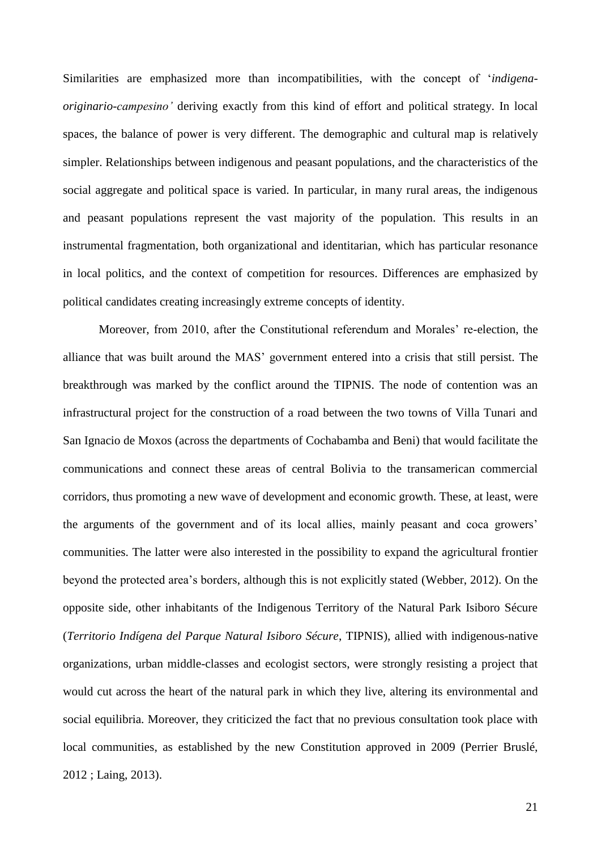Similarities are emphasized more than incompatibilities, with the concept of '*indigenaoriginario-campesino'* deriving exactly from this kind of effort and political strategy. In local spaces, the balance of power is very different. The demographic and cultural map is relatively simpler. Relationships between indigenous and peasant populations, and the characteristics of the social aggregate and political space is varied. In particular, in many rural areas, the indigenous and peasant populations represent the vast majority of the population. This results in an instrumental fragmentation, both organizational and identitarian, which has particular resonance in local politics, and the context of competition for resources. Differences are emphasized by political candidates creating increasingly extreme concepts of identity.

Moreover, from 2010, after the Constitutional referendum and Morales' re-election, the alliance that was built around the MAS' government entered into a crisis that still persist. The breakthrough was marked by the conflict around the TIPNIS. The node of contention was an infrastructural project for the construction of a road between the two towns of Villa Tunari and San Ignacio de Moxos (across the departments of Cochabamba and Beni) that would facilitate the communications and connect these areas of central Bolivia to the transamerican commercial corridors, thus promoting a new wave of development and economic growth. These, at least, were the arguments of the government and of its local allies, mainly peasant and coca growers' communities. The latter were also interested in the possibility to expand the agricultural frontier beyond the protected area's borders, although this is not explicitly stated (Webber, 2012). On the opposite side, other inhabitants of the Indigenous Territory of the Natural Park Isiboro Sécure (*Territorio Indígena del Parque Natural Isiboro Sécure*, TIPNIS), allied with indigenous-native organizations, urban middle-classes and ecologist sectors, were strongly resisting a project that would cut across the heart of the natural park in which they live, altering its environmental and social equilibria. Moreover, they criticized the fact that no previous consultation took place with local communities, as established by the new Constitution approved in 2009 (Perrier Bruslé, 2012 ; Laing, 2013).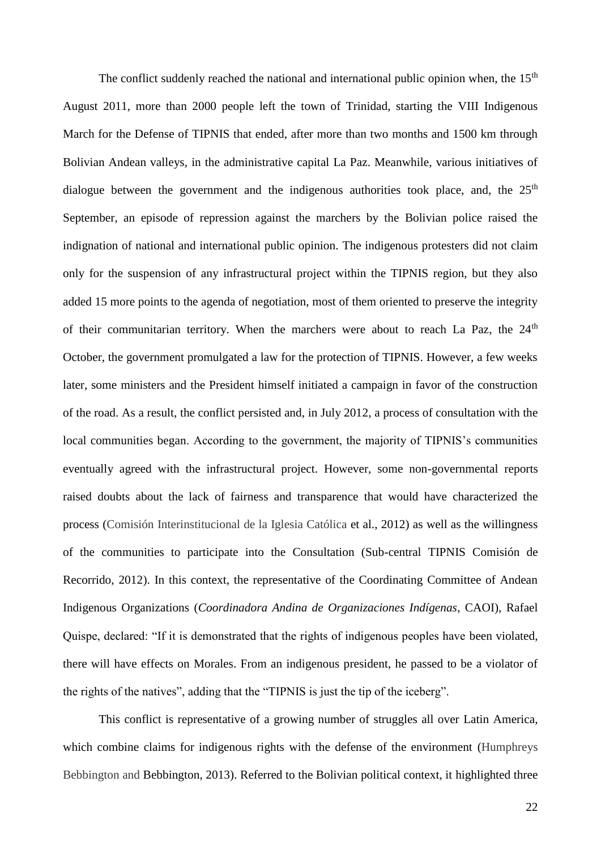The conflict suddenly reached the national and international public opinion when, the  $15<sup>th</sup>$ August 2011, more than 2000 people left the town of Trinidad, starting the VIII Indigenous March for the Defense of TIPNIS that ended, after more than two months and 1500 km through Bolivian Andean valleys, in the administrative capital La Paz. Meanwhile, various initiatives of dialogue between the government and the indigenous authorities took place, and, the  $25<sup>th</sup>$ September, an episode of repression against the marchers by the Bolivian police raised the indignation of national and international public opinion. The indigenous protesters did not claim only for the suspension of any infrastructural project within the TIPNIS region, but they also added 15 more points to the agenda of negotiation, most of them oriented to preserve the integrity of their communitarian territory. When the marchers were about to reach La Paz, the 24<sup>th</sup> October, the government promulgated a law for the protection of TIPNIS. However, a few weeks later, some ministers and the President himself initiated a campaign in favor of the construction of the road. As a result, the conflict persisted and, in July 2012, a process of consultation with the local communities began. According to the government, the majority of TIPNIS's communities eventually agreed with the infrastructural project. However, some non-governmental reports raised doubts about the lack of fairness and transparence that would have characterized the process (Comisión Interinstitucional de la Iglesia Católica et al., 2012) as well as the willingness of the communities to participate into the Consultation (Sub-central TIPNIS Comisión de Recorrido, 2012). In this context, the representative of the Coordinating Committee of Andean Indigenous Organizations (*Coordinadora Andina de Organizaciones Indígenas*, CAOI), Rafael Quispe, declared: "If it is demonstrated that the rights of indigenous peoples have been violated, there will have effects on Morales. From an indigenous president, he passed to be a violator of the rights of the natives", adding that the "TIPNIS is just the tip of the iceberg".

This conflict is representative of a growing number of struggles all over Latin America, which combine claims for indigenous rights with the defense of the environment (Humphreys Bebbington and Bebbington, 2013). Referred to the Bolivian political context, it highlighted three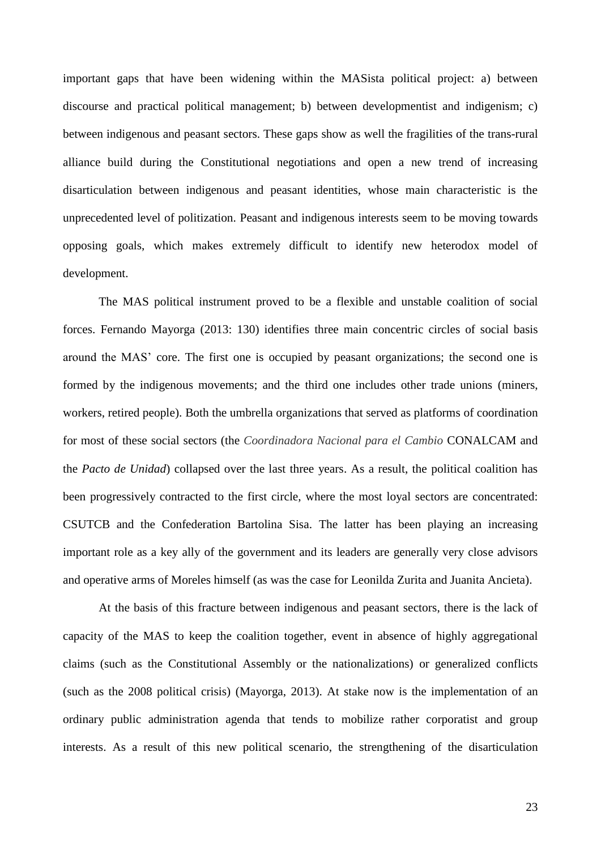important gaps that have been widening within the MASista political project: a) between discourse and practical political management; b) between developmentist and indigenism; c) between indigenous and peasant sectors. These gaps show as well the fragilities of the trans-rural alliance build during the Constitutional negotiations and open a new trend of increasing disarticulation between indigenous and peasant identities, whose main characteristic is the unprecedented level of politization. Peasant and indigenous interests seem to be moving towards opposing goals, which makes extremely difficult to identify new heterodox model of development.

The MAS political instrument proved to be a flexible and unstable coalition of social forces. Fernando Mayorga (2013: 130) identifies three main concentric circles of social basis around the MAS' core. The first one is occupied by peasant organizations; the second one is formed by the indigenous movements; and the third one includes other trade unions (miners, workers, retired people). Both the umbrella organizations that served as platforms of coordination for most of these social sectors (the *Coordinadora Nacional para el Cambio* CONALCAM and the *Pacto de Unidad*) collapsed over the last three years. As a result, the political coalition has been progressively contracted to the first circle, where the most loyal sectors are concentrated: CSUTCB and the Confederation Bartolina Sisa. The latter has been playing an increasing important role as a key ally of the government and its leaders are generally very close advisors and operative arms of Moreles himself (as was the case for Leonilda Zurita and Juanita Ancieta).

At the basis of this fracture between indigenous and peasant sectors, there is the lack of capacity of the MAS to keep the coalition together, event in absence of highly aggregational claims (such as the Constitutional Assembly or the nationalizations) or generalized conflicts (such as the 2008 political crisis) (Mayorga, 2013). At stake now is the implementation of an ordinary public administration agenda that tends to mobilize rather corporatist and group interests. As a result of this new political scenario, the strengthening of the disarticulation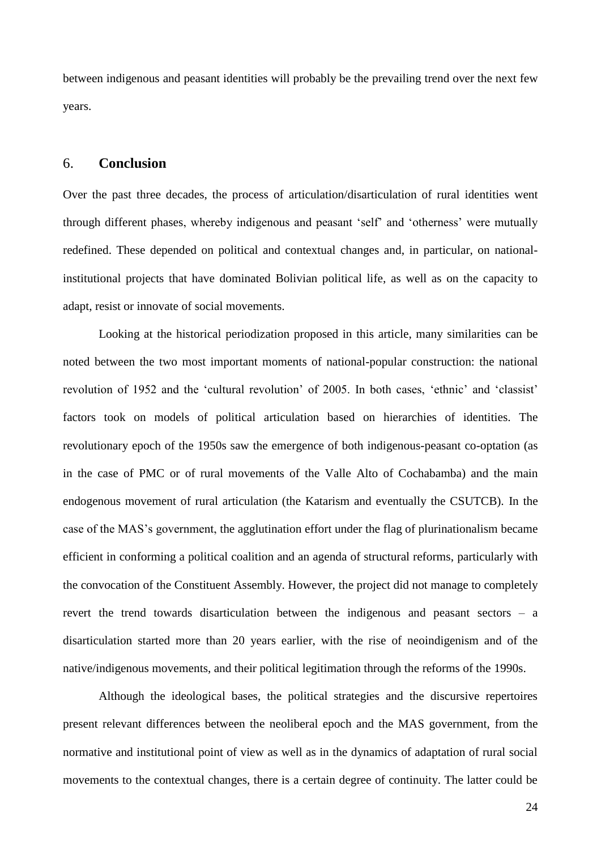between indigenous and peasant identities will probably be the prevailing trend over the next few years.

### 6. **Conclusion**

Over the past three decades, the process of articulation/disarticulation of rural identities went through different phases, whereby indigenous and peasant 'self' and 'otherness' were mutually redefined. These depended on political and contextual changes and, in particular, on nationalinstitutional projects that have dominated Bolivian political life, as well as on the capacity to adapt, resist or innovate of social movements.

Looking at the historical periodization proposed in this article, many similarities can be noted between the two most important moments of national-popular construction: the national revolution of 1952 and the 'cultural revolution' of 2005. In both cases, 'ethnic' and 'classist' factors took on models of political articulation based on hierarchies of identities. The revolutionary epoch of the 1950s saw the emergence of both indigenous-peasant co-optation (as in the case of PMC or of rural movements of the Valle Alto of Cochabamba) and the main endogenous movement of rural articulation (the Katarism and eventually the CSUTCB). In the case of the MAS's government, the agglutination effort under the flag of plurinationalism became efficient in conforming a political coalition and an agenda of structural reforms, particularly with the convocation of the Constituent Assembly. However, the project did not manage to completely revert the trend towards disarticulation between the indigenous and peasant sectors – a disarticulation started more than 20 years earlier, with the rise of neoindigenism and of the native/indigenous movements, and their political legitimation through the reforms of the 1990s.

Although the ideological bases, the political strategies and the discursive repertoires present relevant differences between the neoliberal epoch and the MAS government, from the normative and institutional point of view as well as in the dynamics of adaptation of rural social movements to the contextual changes, there is a certain degree of continuity. The latter could be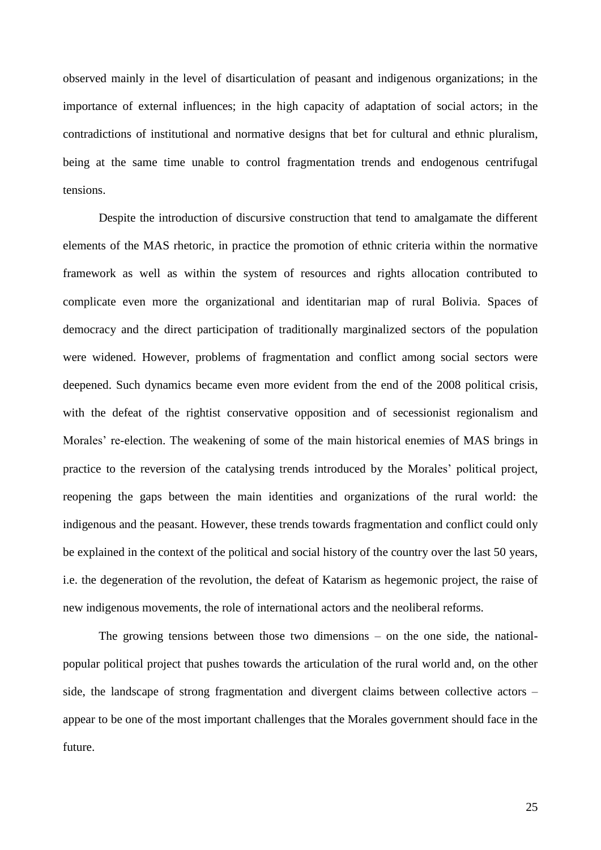observed mainly in the level of disarticulation of peasant and indigenous organizations; in the importance of external influences; in the high capacity of adaptation of social actors; in the contradictions of institutional and normative designs that bet for cultural and ethnic pluralism, being at the same time unable to control fragmentation trends and endogenous centrifugal tensions.

Despite the introduction of discursive construction that tend to amalgamate the different elements of the MAS rhetoric, in practice the promotion of ethnic criteria within the normative framework as well as within the system of resources and rights allocation contributed to complicate even more the organizational and identitarian map of rural Bolivia. Spaces of democracy and the direct participation of traditionally marginalized sectors of the population were widened. However, problems of fragmentation and conflict among social sectors were deepened. Such dynamics became even more evident from the end of the 2008 political crisis, with the defeat of the rightist conservative opposition and of secessionist regionalism and Morales' re-election. The weakening of some of the main historical enemies of MAS brings in practice to the reversion of the catalysing trends introduced by the Morales' political project, reopening the gaps between the main identities and organizations of the rural world: the indigenous and the peasant. However, these trends towards fragmentation and conflict could only be explained in the context of the political and social history of the country over the last 50 years, i.e. the degeneration of the revolution, the defeat of Katarism as hegemonic project, the raise of new indigenous movements, the role of international actors and the neoliberal reforms.

The growing tensions between those two dimensions – on the one side, the nationalpopular political project that pushes towards the articulation of the rural world and, on the other side, the landscape of strong fragmentation and divergent claims between collective actors – appear to be one of the most important challenges that the Morales government should face in the future.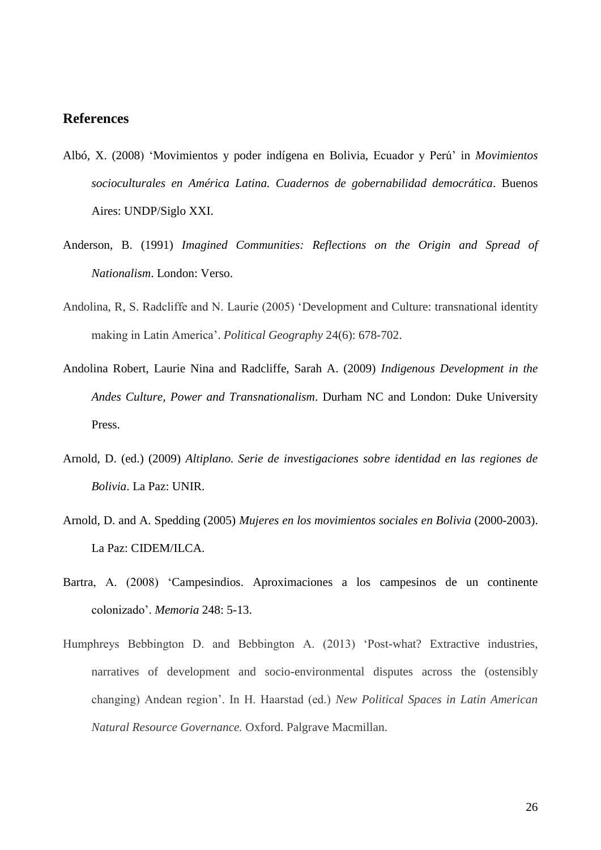# **References**

- Albó, X. (2008) 'Movimientos y poder indígena en Bolivia, Ecuador y Perú' in *Movimientos socioculturales en América Latina. Cuadernos de gobernabilidad democrática*. Buenos Aires: UNDP/Siglo XXI.
- Anderson, B. (1991) *[Imagined Communities: Reflections on the Origin and Spread of](http://books.google.co.in/books?id=4mmoZFtCpuoC)  [Nationalism](http://books.google.co.in/books?id=4mmoZFtCpuoC)*. London: Verso.
- Andolina, R, S. Radcliffe and N. Laurie (2005) 'Development and Culture: transnational identity making in Latin America'. *Political Geography* 24(6): 678-702.
- Andolina Robert, Laurie Nina and Radcliffe, Sarah A. (2009) *Indigenous Development in the Andes Culture, Power and Transnationalism*. Durham NC and London: Duke University Press.
- Arnold, D. (ed.) (2009) *Altiplano. Serie de investigaciones sobre identidad en las regiones de Bolivia*. La Paz: UNIR.
- Arnold, D. and A. Spedding (2005) *Mujeres en los movimientos sociales en Bolivia* (2000-2003). La Paz: CIDEM/ILCA.
- Bartra, A. (2008) 'Campesindios. Aproximaciones a los campesinos de un continente colonizado'. *Memoria* 248: 5-13.
- Humphreys Bebbington D. and Bebbington A. (2013) 'Post-what? Extractive industries, narratives of development and socio-environmental disputes across the (ostensibly changing) Andean region'. In H. Haarstad (ed.) *New Political Spaces in Latin American Natural Resource Governance.* Oxford. Palgrave Macmillan.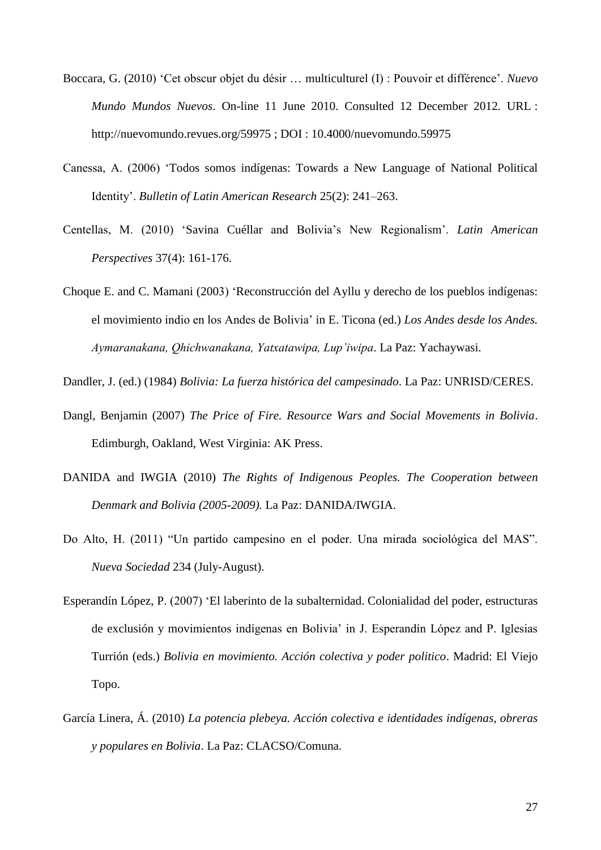- Boccara, G. (2010) 'Cet obscur objet du désir … multiculturel (I) : Pouvoir et différence'. *Nuevo Mundo Mundos Nuevos*. On-line 11 June 2010. Consulted 12 December 2012. URL : http://nuevomundo.revues.org/59975 ; DOI : 10.4000/nuevomundo.59975
- Canessa, A. (2006) 'Todos somos indígenas: Towards a New Language of National Political Identity'. *Bulletin of Latin American Research* 25(2): 241–263.
- Centellas, M. (2010) 'Savina Cuéllar and Bolivia's New Regionalism'. *Latin American Perspectives* 37(4): 161-176.
- Choque E. and C. Mamani (2003) 'Reconstrucción del Ayllu y derecho de los pueblos indígenas: el movimiento indio en los Andes de Bolivia' in E. Ticona (ed.) *Los Andes desde los Andes. Aymaranakana, Qhichwanakana, Yatxatawipa, Lup'iwipa*. La Paz: Yachaywasi.

Dandler, J. (ed.) (1984) *Bolivia: La fuerza histórica del campesinado*. La Paz: UNRISD/CERES.

- Dangl, Benjamin (2007) *The Price of Fire. Resource Wars and Social Movements in Bolivia*. Edimburgh, Oakland, West Virginia: AK Press.
- DANIDA and IWGIA (2010) *The Rights of Indigenous Peoples. The Cooperation between Denmark and Bolivia (2005-2009).* La Paz: DANIDA/IWGIA.
- Do Alto, H. (2011) "Un partido campesino en el poder. Una mirada sociológica del MAS". *Nueva Sociedad* 234 (July-August).
- Esperandín López, P. (2007) 'El laberinto de la subalternidad. Colonialidad del poder, estructuras de exclusión y movimientos indígenas en Bolivia' in J. Esperandín López and P. Iglesias Turrión (eds.) *Bolivia en movimiento. Acción colectiva y poder politico*. Madrid: El Viejo Topo.
- García Linera, Á. (2010) *La potencia plebeya. Acción colectiva e identidades indígenas, obreras y populares en Bolivia*. La Paz: CLACSO/Comuna.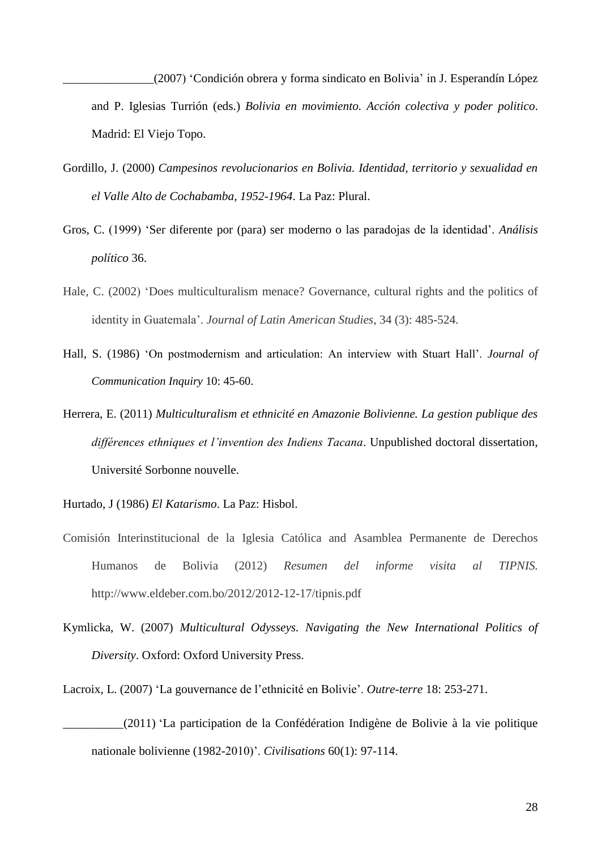\_\_\_\_\_\_\_\_\_\_\_\_\_\_\_(2007) 'Condición obrera y forma sindicato en Bolivia' in J. Esperandín López and P. Iglesias Turrión (eds.) *Bolivia en movimiento. Acción colectiva y poder politico*. Madrid: El Viejo Topo.

- Gordillo, J. (2000) *Campesinos revolucionarios en Bolivia. Identidad, territorio y sexualidad en el Valle Alto de Cochabamba, 1952-1964*. La Paz: Plural.
- Gros, C. (1999) 'Ser diferente por (para) ser moderno o las paradojas de la identidad'. *Análisis político* 36.
- Hale, C. (2002) 'Does multiculturalism menace? Governance, cultural rights and the politics of identity in Guatemala'. *Journal of Latin American Studies*, 34 (3): 485-524.
- Hall, S. (1986) 'On postmodernism and articulation: An interview with Stuart Hall'. *Journal of Communication Inquiry* 10: 45-60.
- Herrera, E. (2011) *Multiculturalism et ethnicité en Amazonie Bolivienne. La gestion publique des différences ethniques et l'invention des Indiens Tacana*. Unpublished doctoral dissertation, Université Sorbonne nouvelle.
- Hurtado, J (1986) *El Katarismo*. La Paz: Hisbol.
- Comisión Interinstitucional de la Iglesia Católica and Asamblea Permanente de Derechos Humanos de Bolivia (2012) *Resumen del informe visita al TIPNIS.* http://www.eldeber.com.bo/2012/2012-12-17/tipnis.pdf
- Kymlicka, W. (2007) *Multicultural Odysseys. Navigating the New International Politics of Diversity*. Oxford: Oxford University Press.
- Lacroix, L. (2007) 'La gouvernance de l'ethnicité en Bolivie'. *Outre-terre* 18: 253-271.
- \_\_\_\_\_\_\_\_\_\_(2011) 'La participation de la Confédération Indigène de Bolivie à la vie politique nationale bolivienne (1982-2010)'. *Civilisations* 60(1): 97-114.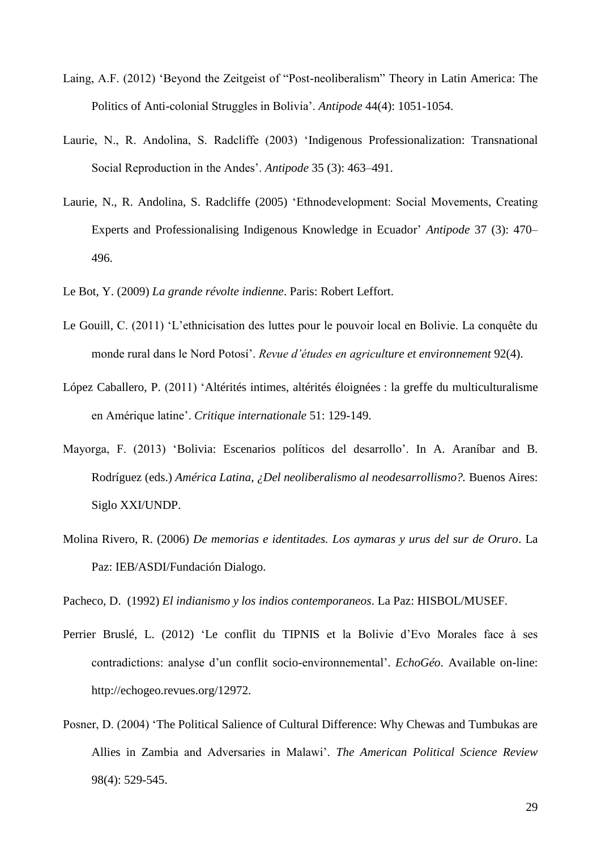- Laing, A.F. (2012) 'Beyond the Zeitgeist of "Post-neoliberalism" Theory in Latin America: The Politics of Anti-colonial Struggles in Bolivia'. *Antipode* 44(4): 1051-1054.
- Laurie, N., R. Andolina, S. Radcliffe (2003) 'Indigenous Professionalization: Transnational Social Reproduction in the Andes'. *Antipode* 35 (3): 463–491.
- Laurie, N., R. Andolina, S. Radcliffe (2005) ['Ethnodevelopment: Social Movements, Creating](http://onlinelibrary.wiley.com.ezproxy.library.ubc.ca/doi/10.1111/j.0066-4812.2005.00507.x/abstract)  [Experts and Professionalising Indigenous Knowledge in Ecuador'](http://onlinelibrary.wiley.com.ezproxy.library.ubc.ca/doi/10.1111/j.0066-4812.2005.00507.x/abstract) *Antipode* 37 (3): 470– 496.

Le Bot, Y. (2009) *La grande révolte indienne*. Paris: Robert Leffort.

- Le Gouill, C. (2011) 'L'ethnicisation des luttes pour le pouvoir local en Bolivie. La conquête du monde rural dans le Nord Potosí'. *Revue d'études en agriculture et environnement* 92(4).
- López Caballero, P. (2011) 'Altérités intimes, altérités éloignées : la greffe du multiculturalisme en Amérique latine'. *Critique internationale* 51: 129-149.
- Mayorga, F. (2013) 'Bolivia: Escenarios políticos del desarrollo'. In A. Araníbar and B. Rodríguez (eds.) *América Latina, ¿Del neoliberalismo al neodesarrollismo?.* Buenos Aires: Siglo XXI/UNDP.
- Molina Rivero, R. (2006) *De memorias e identitades. Los aymaras y urus del sur de Oruro*. La Paz: IEB/ASDI/Fundación Dialogo.

Pacheco, D. (1992) *El indianismo y los indios contemporaneos*. La Paz: HISBOL/MUSEF.

- Perrier Bruslé, L. (2012) 'Le conflit du TIPNIS et la Bolivie d'Evo Morales face à ses contradictions: analyse d'un conflit socio-environnemental'. *EchoGéo*. Available on-line: http://echogeo.revues.org/12972.
- Posner, D. (2004) 'The Political Salience of Cultural Difference: Why Chewas and Tumbukas are Allies in Zambia and Adversaries in Malawi'. *The American Political Science Review* 98(4): 529-545.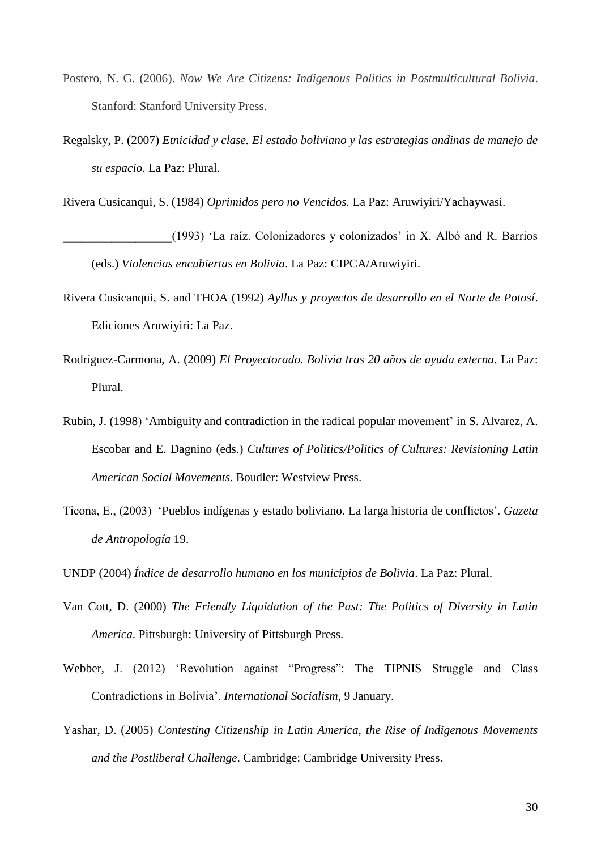- Postero, N. G. (2006). *Now We Are Citizens: Indigenous Politics in Postmulticultural Bolivia*. Stanford: Stanford University Press.
- Regalsky, P. (2007) *Etnicidad y clase. El estado boliviano y las estrategias andinas de manejo de su espacio*. La Paz: Plural.

Rivera Cusicanqui, S. (1984) *Oprimidos pero no Vencidos.* La Paz: Aruwiyiri/Yachaywasi.

\_\_\_\_\_\_\_\_\_\_\_\_\_\_\_\_\_\_(1993) 'La raíz. Colonizadores y colonizados' in X. Albó and R. Barrios (eds.) *Violencias encubiertas en Bolivia*. La Paz: CIPCA/Aruwiyiri.

- Rivera Cusicanqui, S. and THOA (1992) *Ayllus y proyectos de desarrollo en el Norte de Potosí*. Ediciones Aruwiyiri: La Paz.
- Rodríguez-Carmona, A. (2009) *El Proyectorado. Bolivia tras 20 años de ayuda externa.* La Paz: Plural.
- Rubin, J. (1998) 'Ambiguity and contradiction in the radical popular movement' in S. Alvarez, A. Escobar and E. Dagnino (eds.) *Cultures of Politics/Politics of Cultures: Revisioning Latin American Social Movements.* Boudler: Westview Press.
- Ticona, E., (2003) 'Pueblos indígenas y estado boliviano. La larga historia de conflictos'. *Gazeta de Antropología* 19.

UNDP (2004) *Índice de desarrollo humano en los municipios de Bolivia*. La Paz: Plural.

- Van Cott, D. (2000) *The Friendly Liquidation of the Past: The Politics of Diversity in Latin America*. Pittsburgh: University of Pittsburgh Press.
- Webber, J. (2012) 'Revolution against "Progress": The TIPNIS Struggle and Class Contradictions in Bolivia'. *International Socialism*, 9 January.
- Yashar, D. (2005) *Contesting Citizenship in Latin America, the Rise of Indigenous Movements and the Postliberal Challenge*. Cambridge: Cambridge University Press.